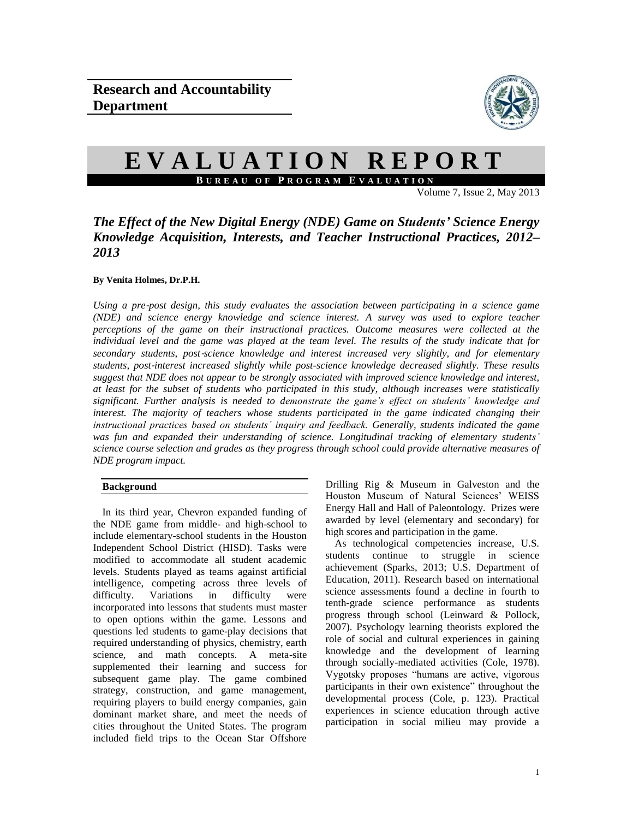

# **E V A L U A T I O N R E P O R T B U R E A U O F P R O G R A M E V A L U A T I O N**

Volume 7, Issue 2, May  $2013$ 

## *The Effect of the New Digital Energy (NDE) Game on Students' Science Energy Knowledge Acquisition, Interests, and Teacher Instructional Practices, 2012– 2013*

### **By Venita Holmes, Dr.P.H.**

*Using a pre*‐*post design, this study evaluates the association between participating in a science game (NDE) and science energy knowledge and science interest. A survey was used to explore teacher perceptions of the game on their instructional practices. Outcome measures were collected at the individual level and the game was played at the team level. The results of the study indicate that for secondary students, post*‐*science knowledge and interest increased very slightly, and for elementary students, post*‐*interest increased slightly while post-science knowledge decreased slightly. These results suggest that NDE does not appear to be strongly associated with improved science knowledge and interest, at least for the subset of students who participated in this study, although increases were statistically significant. Further analysis is needed to demonstrate the game's effect on students' knowledge and interest. The majority of teachers whose students participated in the game indicated changing their instructional practices based on students' inquiry and feedback. Generally, students indicated the game was fun and expanded their understanding of science. Longitudinal tracking of elementary students' science course selection and grades as they progress through school could provide alternative measures of NDE program impact.*

## **Background**

In its third year, Chevron expanded funding of the NDE game from middle- and high-school to include elementary-school students in the Houston Independent School District (HISD). Tasks were modified to accommodate all student academic levels. Students played as teams against artificial intelligence, competing across three levels of difficulty. Variations in difficulty were incorporated into lessons that students must master to open options within the game. Lessons and questions led students to game-play decisions that required understanding of physics, chemistry, earth science, and math concepts. A meta-site supplemented their learning and success for subsequent game play. The game combined strategy, construction, and game management, requiring players to build energy companies, gain dominant market share, and meet the needs of cities throughout the United States. The program included field trips to the Ocean Star Offshore

Drilling Rig & Museum in Galveston and the Houston Museum of Natural Sciences' WEISS Energy Hall and Hall of Paleontology. Prizes were awarded by level (elementary and secondary) for high scores and participation in the game.

As technological competencies increase, U.S. students continue to struggle in science achievement (Sparks, 2013; U.S. Department of Education, 2011). Research based on international science assessments found a decline in fourth to tenth-grade science performance as students progress through school (Leinward & Pollock, 2007). Psychology learning theorists explored the role of social and cultural experiences in gaining knowledge and the development of learning through socially-mediated activities (Cole, 1978). Vygotsky proposes "humans are active, vigorous participants in their own existence" throughout the developmental process (Cole, p. 123). Practical experiences in science education through active participation in social milieu may provide a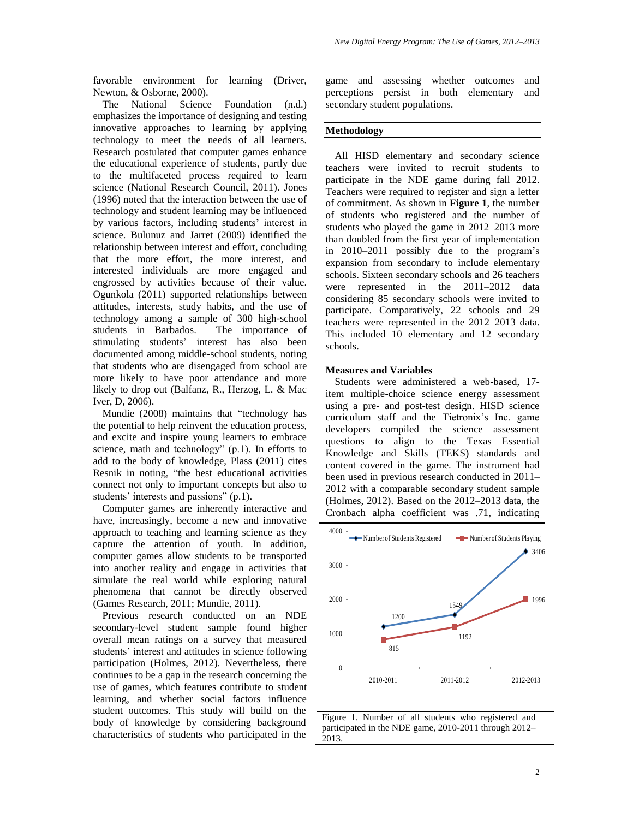favorable environment for learning (Driver, Newton, & Osborne, 2000).

The National Science Foundation (n.d.) emphasizes the importance of designing and testing innovative approaches to learning by applying technology to meet the needs of all learners. Research postulated that computer games enhance the educational experience of students, partly due to the multifaceted process required to learn science (National Research Council, 2011). Jones (1996) noted that the interaction between the use of technology and student learning may be influenced by various factors, including students' interest in science. Bulunuz and Jarret (2009) identified the relationship between interest and effort, concluding that the more effort, the more interest, and interested individuals are more engaged and engrossed by activities because of their value. Ogunkola (2011) supported relationships between attitudes, interests, study habits, and the use of technology among a sample of 300 high-school students in Barbados. The importance of stimulating students' interest has also been documented among middle-school students, noting that students who are disengaged from school are more likely to have poor attendance and more likely to drop out (Balfanz, R., Herzog, L. & Mac Iver, D, 2006).

Mundie (2008) maintains that "technology has the potential to help reinvent the education process, and excite and inspire young learners to embrace science, math and technology" (p.1). In efforts to add to the body of knowledge, Plass (2011) cites Resnik in noting, "the best educational activities connect not only to important concepts but also to students' interests and passions" (p.1).

Computer games are inherently interactive and have, increasingly, become a new and innovative approach to teaching and learning science as they capture the attention of youth. In addition, computer games allow students to be transported into another reality and engage in activities that simulate the real world while exploring natural phenomena that cannot be directly observed (Games Research, 2011; Mundie, 2011).

Previous research conducted on an NDE secondary-level student sample found higher overall mean ratings on a survey that measured students' interest and attitudes in science following participation (Holmes, 2012). Nevertheless, there continues to be a gap in the research concerning the use of games, which features contribute to student learning, and whether social factors influence student outcomes. This study will build on the body of knowledge by considering background characteristics of students who participated in the

game and assessing whether outcomes and perceptions persist in both elementary and secondary student populations.

#### **Methodology**

All HISD elementary and secondary science teachers were invited to recruit students to participate in the NDE game during fall 2012. Teachers were required to register and sign a letter of commitment. As shown in **Figure 1**, the number of students who registered and the number of students who played the game in 2012–2013 more than doubled from the first year of implementation in 2010–2011 possibly due to the program's expansion from secondary to include elementary schools. Sixteen secondary schools and 26 teachers were represented in the 2011–2012 data considering 85 secondary schools were invited to participate. Comparatively, 22 schools and 29 teachers were represented in the 2012–2013 data. This included 10 elementary and 12 secondary schools.

#### **Measures and Variables**

Students were administered a web-based, 17 item multiple-choice science energy assessment using a pre- and post-test design. HISD science curriculum staff and the Tietronix's Inc. game developers compiled the science assessment questions to align to the Texas Essential Knowledge and Skills (TEKS) standards and content covered in the game. The instrument had been used in previous research conducted in 2011– 2012 with a comparable secondary student sample (Holmes, 2012). Based on the 2012–2013 data, the Cronbach alpha coefficient was .71, indicating



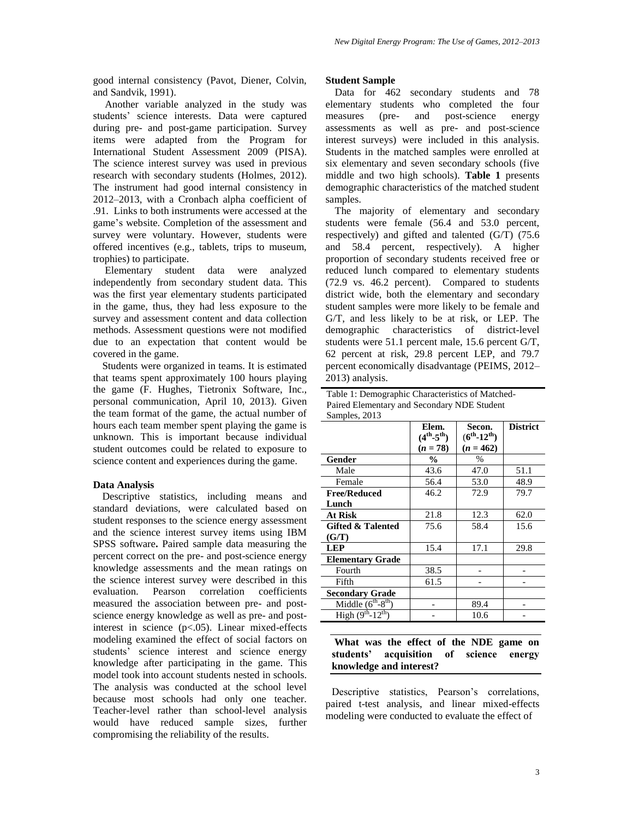good internal consistency (Pavot, Diener, Colvin, and Sandvik, 1991).

Another variable analyzed in the study was students' science interests. Data were captured during pre- and post-game participation. Survey items were adapted from the Program for International Student Assessment 2009 (PISA). The science interest survey was used in previous research with secondary students (Holmes, 2012). The instrument had good internal consistency in 2012–2013, with a Cronbach alpha coefficient of .91. Links to both instruments were accessed at the game's website. Completion of the assessment and survey were voluntary. However, students were offered incentives (e.g., tablets, trips to museum, trophies) to participate.

Elementary student data were analyzed independently from secondary student data. This was the first year elementary students participated in the game, thus, they had less exposure to the survey and assessment content and data collection methods. Assessment questions were not modified due to an expectation that content would be covered in the game.

Students were organized in teams. It is estimated that teams spent approximately 100 hours playing the game (F. Hughes, Tietronix Software, Inc., personal communication, April 10, 2013). Given the team format of the game, the actual number of hours each team member spent playing the game is unknown. This is important because individual student outcomes could be related to exposure to science content and experiences during the game.

#### **Data Analysis**

Descriptive statistics, including means and standard deviations, were calculated based on student responses to the science energy assessment and the science interest survey items using IBM SPSS software**.** Paired sample data measuring the percent correct on the pre- and post-science energy knowledge assessments and the mean ratings on the science interest survey were described in this evaluation. Pearson correlation coefficients measured the association between pre- and postscience energy knowledge as well as pre- and postinterest in science (p<.05). Linear mixed-effects modeling examined the effect of social factors on students' science interest and science energy knowledge after participating in the game. This model took into account students nested in schools. The analysis was conducted at the school level because most schools had only one teacher. Teacher-level rather than school-level analysis would have reduced sample sizes, further compromising the reliability of the results.

#### **Student Sample**

Data for 462 secondary students and 78 elementary students who completed the four measures (pre- and post-science energy assessments as well as pre- and post-science interest surveys) were included in this analysis. Students in the matched samples were enrolled at six elementary and seven secondary schools (five middle and two high schools). **Table 1** presents demographic characteristics of the matched student samples.

The majority of elementary and secondary students were female (56.4 and 53.0 percent, respectively) and gifted and talented (G/T) (75.6 and 58.4 percent, respectively). A higher proportion of secondary students received free or reduced lunch compared to elementary students (72.9 vs. 46.2 percent). Compared to students district wide, both the elementary and secondary student samples were more likely to be female and G/T, and less likely to be at risk, or LEP. The demographic characteristics of district-level students were 51.1 percent male, 15.6 percent G/T, 62 percent at risk, 29.8 percent LEP, and 79.7 percent economically disadvantage (PEIMS, 2012– 2013) analysis.

Table 1: Demographic Characteristics of Matched-Paired Elementary and Secondary NDE Student

| Samples, 2013                |                              |                                |                 |
|------------------------------|------------------------------|--------------------------------|-----------------|
|                              | Elem.<br>$(4^{th} - 5^{th})$ | Secon.<br>$(6^{th} - 12^{th})$ | <b>District</b> |
|                              | $(n = 78)$                   | $(n = 462)$                    |                 |
| Gender                       | $\frac{6}{9}$                | $\%$                           |                 |
| Male                         | 43.6                         | 47.0                           | 51.1            |
| Female                       | 56.4                         | 53.0                           | 48.9            |
| <b>Free/Reduced</b>          | 46.2                         | 72.9                           | 79.7            |
| Lunch                        |                              |                                |                 |
| <b>At Risk</b>               | 21.8                         | 12.3                           | 62.0            |
| <b>Gifted &amp; Talented</b> | 75.6                         | 58.4                           | 15.6            |
| (G/T)                        |                              |                                |                 |
| <b>LEP</b>                   | 15.4                         | 17.1                           | 29.8            |
| <b>Elementary Grade</b>      |                              |                                |                 |
| Fourth                       | 38.5                         |                                |                 |
| Fifth                        | 61.5                         |                                |                 |
| <b>Secondary Grade</b>       |                              |                                |                 |
| Middle $(6^{th} - 8^{th})$   |                              | 89.4                           |                 |
| High $(9th-12th)$            |                              | 10.6                           |                 |

## **What was the effect of the NDE game on students' acquisition of science energy knowledge and interest?**

Descriptive statistics, Pearson's correlations, paired t-test analysis, and linear mixed-effects modeling were conducted to evaluate the effect of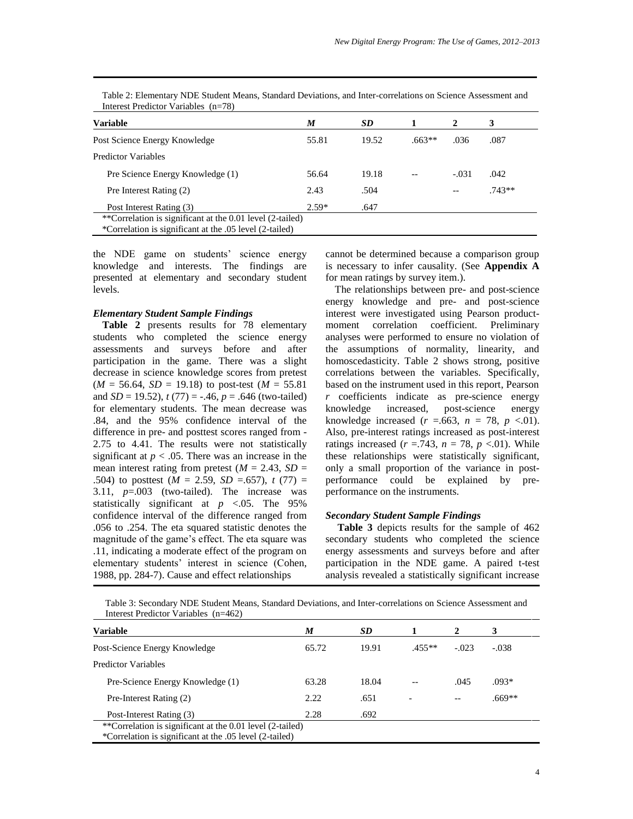| <b>Variable</b>                                           | M       | SD    |          | 2       | 3        |
|-----------------------------------------------------------|---------|-------|----------|---------|----------|
| Post Science Energy Knowledge                             | 55.81   | 19.52 | $.663**$ | .036    | .087     |
| <b>Predictor Variables</b>                                |         |       |          |         |          |
| Pre Science Energy Knowledge (1)                          | 56.64   | 19.18 |          | $-.031$ | .042     |
| Pre Interest Rating (2)                                   | 2.43    | .504  |          | --      | $.743**$ |
| Post Interest Rating (3)                                  | $2.59*$ | .647  |          |         |          |
| **Correlation is significant at the 0.01 level (2-tailed) |         |       |          |         |          |
| *Correlation is significant at the .05 level (2-tailed)   |         |       |          |         |          |

Table 2: Elementary NDE Student Means, Standard Deviations, and Inter-correlations on Science Assessment and Interest Predictor Variables (n=78)

the NDE game on students' science energy knowledge and interests. The findings are presented at elementary and secondary student levels.

#### *Elementary Student Sample Findings*

**Table 2** presents results for 78 elementary students who completed the science energy assessments and surveys before and after participation in the game. There was a slight decrease in science knowledge scores from pretest  $(M = 56.64, SD = 19.18)$  to post-test  $(M = 55.81)$ and *SD* = 19.52),  $t(77) = -.46$ ,  $p = .646$  (two-tailed) for elementary students. The mean decrease was .84, and the 95% confidence interval of the difference in pre- and posttest scores ranged from - 2.75 to 4.41. The results were not statistically significant at  $p < .05$ . There was an increase in the mean interest rating from pretest  $(M = 2.43, SD =$ .504) to posttest  $(M = 2.59, SD = .657)$ ,  $t(77) =$ 3.11, *p*=.003 (two-tailed). The increase was statistically significant at  $p \le 0.05$ . The 95% confidence interval of the difference ranged from .056 to .254. The eta squared statistic denotes the magnitude of the game's effect. The eta square was .11, indicating a moderate effect of the program on elementary students' interest in science (Cohen, 1988, pp. 284-7). Cause and effect relationships

cannot be determined because a comparison group is necessary to infer causality. (See **Appendix A** for mean ratings by survey item.).

The relationships between pre- and post-science energy knowledge and pre- and post-science interest were investigated using Pearson productmoment correlation coefficient. Preliminary analyses were performed to ensure no violation of the assumptions of normality, linearity, and homoscedasticity. Table 2 shows strong, positive correlations between the variables. Specifically, based on the instrument used in this report, Pearson *r* coefficients indicate as pre-science energy knowledge increased, post-science energy knowledge increased  $(r = .663, n = 78, p < .01)$ . Also, pre-interest ratings increased as post-interest ratings increased  $(r = .743, n = 78, p < .01)$ . While these relationships were statistically significant, only a small proportion of the variance in postperformance could be explained by preperformance on the instruments.

#### *Secondary Student Sample Findings*

**Table 3** depicts results for the sample of 462 secondary students who completed the science energy assessments and surveys before and after participation in the NDE game. A paired t-test analysis revealed a statistically significant increase

Table 3: Secondary NDE Student Means, Standard Deviations, and Inter-correlations on Science Assessment and Interest Predictor Variables (n=462)

| <b>Variable</b>                                                                                                      | M     | SD.   |          | 2       | 3        |  |  |
|----------------------------------------------------------------------------------------------------------------------|-------|-------|----------|---------|----------|--|--|
| Post-Science Energy Knowledge                                                                                        | 65.72 | 19.91 | $.455**$ | $-.023$ | $-.038$  |  |  |
| <b>Predictor Variables</b>                                                                                           |       |       |          |         |          |  |  |
| Pre-Science Energy Knowledge (1)                                                                                     | 63.28 | 18.04 |          | .045    | $.093*$  |  |  |
| Pre-Interest Rating (2)                                                                                              | 2.22. | .651  |          |         | $.669**$ |  |  |
| Post-Interest Rating (3)                                                                                             | 2.28  | .692  |          |         |          |  |  |
| **Correlation is significant at the 0.01 level (2-tailed)<br>*Correlation is significant at the .05 level (2-tailed) |       |       |          |         |          |  |  |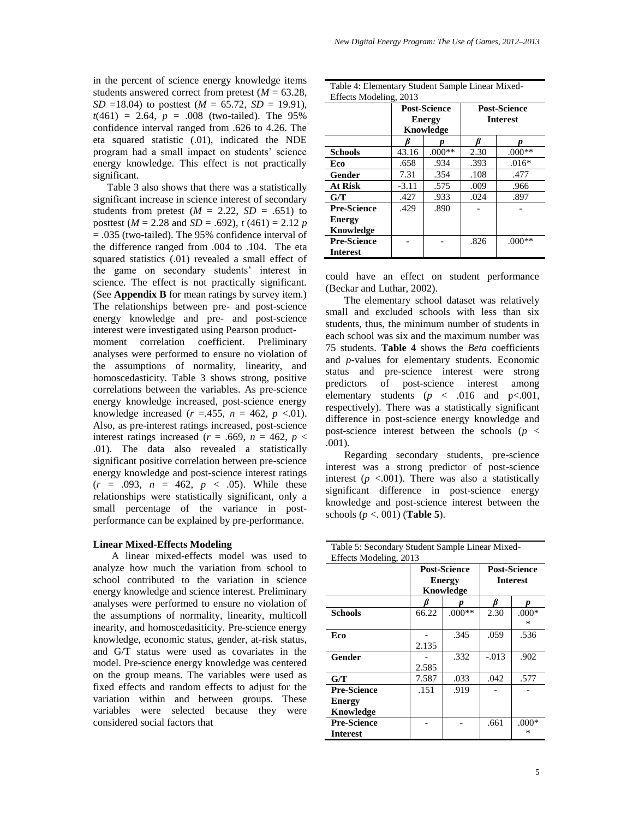in the percent of science energy knowledge items students answered correct from pretest  $(M = 63.28$ , *SD* =18.04) to posttest ( $M = 65.72$ , *SD* = 19.91),  $t(461) = 2.64$ ,  $p = .008$  (two-tailed). The 95% confidence interval ranged from .626 to 4.26. The eta squared statistic (.01), indicated the NDE program had a small impact on students' science energy knowledge. This effect is not practically significant.

Table 3 also shows that there was a statistically significant increase in science interest of secondary students from pretest  $(M = 2.22, SD = .651)$  to posttest (*M* = 2.28 and *SD* = .692), *t* (461) = 2.12 *p* = .035 (two-tailed). The 95% confidence interval of the difference ranged from .004 to .104. The eta squared statistics (.01) revealed a small effect of the game on secondary students' interest in science. The effect is not practically significant. (See **Appendix B** for mean ratings by survey item.) The relationships between pre- and post-science energy knowledge and pre- and post-science interest were investigated using Pearson productmoment correlation coefficient. Preliminary analyses were performed to ensure no violation of the assumptions of normality, linearity, and homoscedasticity. Table 3 shows strong, positive correlations between the variables. As pre-science energy knowledge increased, post-science energy knowledge increased  $(r = .455, n = 462, p < .01)$ . Also, as pre-interest ratings increased, post-science interest ratings increased ( $r = .669$ ,  $n = 462$ ,  $p <$ 

.01). The data also revealed a statistically significant positive correlation between pre-science energy knowledge and post-science interest ratings  $(r = .093, n = 462, p < .05)$ . While these relationships were statistically significant, only a small percentage of the variance in postperformance can be explained by pre-performance.

#### **Linear Mixed-Effects Modeling**

A linear mixed-effects model was used to analyze how much the variation from school to school contributed to the variation in science energy knowledge and science interest. Preliminary analyses were performed to ensure no violation of the assumptions of normality, linearity, multicoll inearity, and homoscedasiticity. Pre-science energy knowledge, economic status, gender, at-risk status, and G/T status were used as covariates in the model. Pre-science energy knowledge was centered on the group means. The variables were used as fixed effects and random effects to adjust for the variation within and between groups. These variables were selected because they were considered social factors that

Table 4: Elementary Student Sample Linear Mixed-

 $Eff$   $\rightarrow$   $\rightarrow$   $M$   $\rightarrow$   $J$   $\rightarrow$   $L$   $\rightarrow$ 

| Effects Modeling, 2015 |         |                     |                     |          |  |  |  |  |
|------------------------|---------|---------------------|---------------------|----------|--|--|--|--|
|                        |         | <b>Post-Science</b> | <b>Post-Science</b> |          |  |  |  |  |
|                        |         | <b>Energy</b>       | <b>Interest</b>     |          |  |  |  |  |
|                        |         | Knowledge           |                     |          |  |  |  |  |
|                        |         |                     |                     |          |  |  |  |  |
| <b>Schools</b>         | 43.16   | $.000**$            | 2.30                | $.000**$ |  |  |  |  |
| Eco                    | .658    | .934                | .393                | $.016*$  |  |  |  |  |
| Gender                 | 7.31    | .354                | .108                | .477     |  |  |  |  |
| At Risk                | $-3.11$ | .575                | .009                | .966     |  |  |  |  |
| G/T                    | .427    | .933                | .024                | .897     |  |  |  |  |
| <b>Pre-Science</b>     | .429    | .890                |                     |          |  |  |  |  |
| <b>Energy</b>          |         |                     |                     |          |  |  |  |  |
| Knowledge              |         |                     |                     |          |  |  |  |  |
| <b>Pre-Science</b>     |         |                     | .826                | $.000**$ |  |  |  |  |
| <b>Interest</b>        |         |                     |                     |          |  |  |  |  |
|                        |         |                     |                     |          |  |  |  |  |

could have an effect on student performance (Beckar and Luthar, 2002).

The elementary school dataset was relatively small and excluded schools with less than six students, thus, the minimum number of students in each school was six and the maximum number was 75 students. **Table 4** shows the *Beta* coefficients and *p*-values for elementary students. Economic status and pre-science interest were strong predictors of post-science interest among elementary students  $(p \lt 0.016$  and  $p \lt 0.001$ , respectively). There was a statistically significant difference in post-science energy knowledge and post-science interest between the schools ( $p <$ .001).

Regarding secondary students, pre-science interest was a strong predictor of post-science interest  $(p \lt 0.001)$ . There was also a statistically significant difference in post-science energy knowledge and post-science interest between the schools (*p* <. 001) (**Table 5**).

| Table 5: Secondary Student Sample Linear Mixed- |       |                     |                     |         |  |  |  |  |  |
|-------------------------------------------------|-------|---------------------|---------------------|---------|--|--|--|--|--|
| Effects Modeling, 2013                          |       |                     |                     |         |  |  |  |  |  |
|                                                 |       | <b>Post-Science</b> | <b>Post-Science</b> |         |  |  |  |  |  |
|                                                 |       | <b>Energy</b>       | <b>Interest</b>     |         |  |  |  |  |  |
|                                                 |       | Knowledge           |                     |         |  |  |  |  |  |
|                                                 |       |                     |                     |         |  |  |  |  |  |
| <b>Schools</b>                                  | 66.22 | $.000**$            | 2.30                | $.000*$ |  |  |  |  |  |
|                                                 |       |                     |                     | *       |  |  |  |  |  |
| Eco                                             |       | .345                | .059                | .536    |  |  |  |  |  |
|                                                 | 2.135 |                     |                     |         |  |  |  |  |  |
| Gender                                          |       | .332                | $-.013$             | .902    |  |  |  |  |  |
|                                                 | 2.585 |                     |                     |         |  |  |  |  |  |
| G/T                                             | 7.587 | .033                | .042                | .577    |  |  |  |  |  |
| <b>Pre-Science</b>                              | .151  | .919                |                     |         |  |  |  |  |  |
| <b>Energy</b>                                   |       |                     |                     |         |  |  |  |  |  |
| Knowledge                                       |       |                     |                     |         |  |  |  |  |  |
| <b>Pre-Science</b>                              |       |                     | .661                | $.000*$ |  |  |  |  |  |
| <b>Interest</b>                                 |       |                     |                     | ∗       |  |  |  |  |  |
|                                                 |       |                     |                     |         |  |  |  |  |  |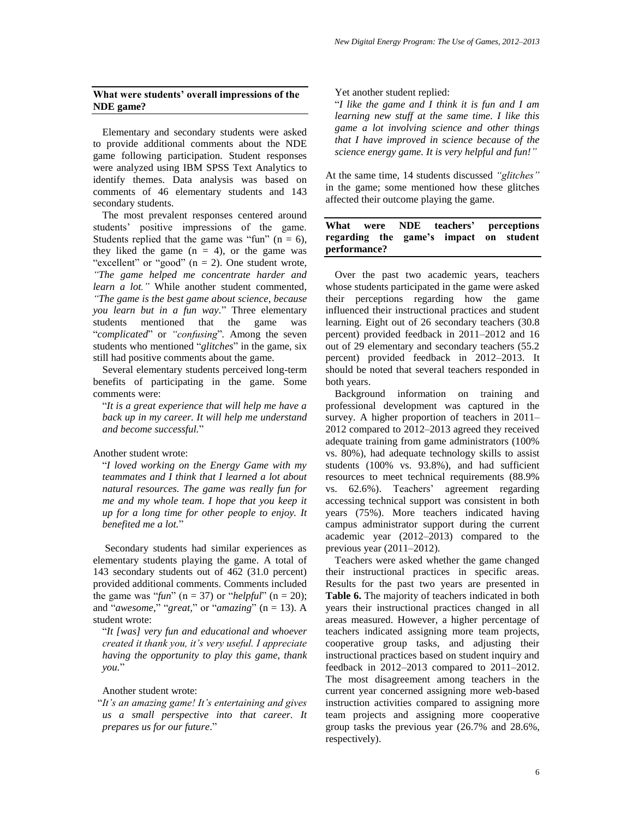## **What were students' overall impressions of the NDE game?**

Elementary and secondary students were asked to provide additional comments about the NDE game following participation. Student responses were analyzed using IBM SPSS Text Analytics to identify themes. Data analysis was based on comments of 46 elementary students and 143 secondary students.

The most prevalent responses centered around students' positive impressions of the game. Students replied that the game was "fun" ( $n = 6$ ), they liked the game  $(n = 4)$ , or the game was "excellent" or "good"  $(n = 2)$ . One student wrote, *"The game helped me concentrate harder and learn a lot."* While another student commented, *"The game is the best game about science, because you learn but in a fun way.*" Three elementary students mentioned that the game was "*complicated*" or *"confusing*"*.* Among the seven students who mentioned "*glitches*" in the game, six still had positive comments about the game.

Several elementary students perceived long-term benefits of participating in the game. Some comments were:

"*It is a great experience that will help me have a back up in my career. It will help me understand and become successful.*"

Another student wrote:

"*I loved working on the Energy Game with my teammates and I think that I learned a lot about natural resources. The game was really fun for me and my whole team. I hope that you keep it up for a long time for other people to enjoy. It benefited me a lot.*"

Secondary students had similar experiences as elementary students playing the game. A total of 143 secondary students out of 462 (31.0 percent) provided additional comments. Comments included the game was "*fun*" ( $n = 37$ ) or "*helpful*" ( $n = 20$ ); and "*awesome*," "*great*," or "*amazing*" ( $n = 13$ ). A student wrote:

"*It [was] very fun and educational and whoever created it thank you, it's very useful. I appreciate having the opportunity to play this game, thank you.*"

Another student wrote:

"*It's an amazing game! It's entertaining and gives us a small perspective into that career. It prepares us for our future*."

Yet another student replied:

"*I like the game and I think it is fun and I am learning new stuff at the same time. I like this game a lot involving science and other things that I have improved in science because of the science energy game. It is very helpful and fun!"*

At the same time, 14 students discussed *"glitches"* in the game; some mentioned how these glitches affected their outcome playing the game.

## **What were NDE teachers' perceptions regarding the game's impact on student performance?**

Over the past two academic years, teachers whose students participated in the game were asked their perceptions regarding how the game influenced their instructional practices and student learning. Eight out of 26 secondary teachers (30.8 percent) provided feedback in 2011–2012 and 16 out of 29 elementary and secondary teachers (55.2 percent) provided feedback in 2012–2013. It should be noted that several teachers responded in both years.

Background information on training and professional development was captured in the survey. A higher proportion of teachers in 2011– 2012 compared to 2012–2013 agreed they received adequate training from game administrators (100% vs. 80%), had adequate technology skills to assist students (100% vs. 93.8%), and had sufficient resources to meet technical requirements (88.9% vs. 62.6%). Teachers' agreement regarding accessing technical support was consistent in both years (75%). More teachers indicated having campus administrator support during the current academic year (2012–2013) compared to the previous year (2011–2012).

Teachers were asked whether the game changed their instructional practices in specific areas. Results for the past two years are presented in Table 6. The majority of teachers indicated in both years their instructional practices changed in all areas measured. However, a higher percentage of teachers indicated assigning more team projects, cooperative group tasks, and adjusting their instructional practices based on student inquiry and feedback in 2012–2013 compared to 2011–2012. The most disagreement among teachers in the current year concerned assigning more web-based instruction activities compared to assigning more team projects and assigning more cooperative group tasks the previous year (26.7% and 28.6%, respectively).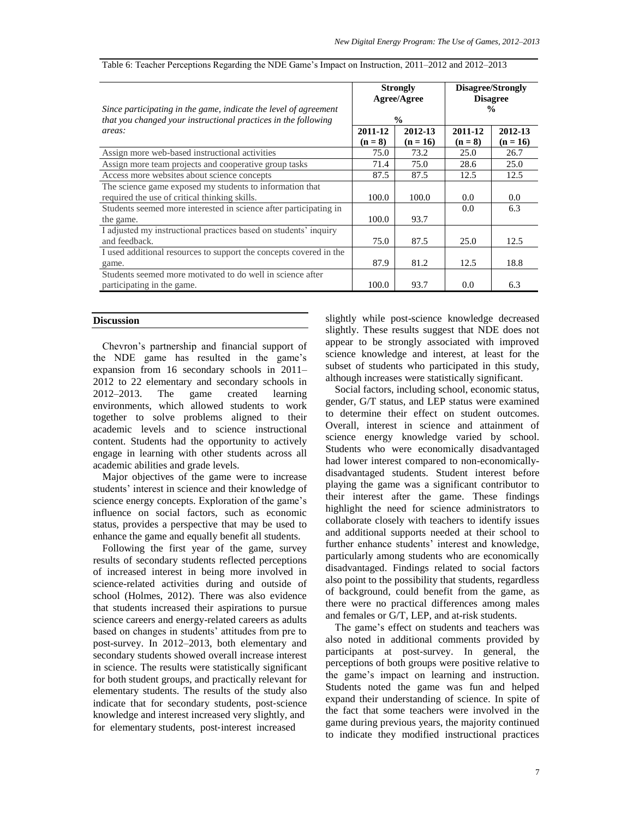|                                                                                                                                    |         | <b>Strongly</b><br>Agree/Agree | Disagree/Strongly<br><b>Disagree</b> |               |  |
|------------------------------------------------------------------------------------------------------------------------------------|---------|--------------------------------|--------------------------------------|---------------|--|
| Since participating in the game, indicate the level of agreement<br>that you changed your instructional practices in the following |         | $\frac{0}{0}$                  |                                      | $\frac{0}{0}$ |  |
| areas:                                                                                                                             | 2011-12 | 2012-13                        | 2011-12                              | 2012-13       |  |
|                                                                                                                                    | $(n=8)$ | $(n = 16)$                     | $(n = 8)$                            | $(n = 16)$    |  |
| Assign more web-based instructional activities                                                                                     | 75.0    | 73.2                           | 25.0                                 | 26.7          |  |
| Assign more team projects and cooperative group tasks                                                                              | 71.4    | 75.0                           | 28.6                                 | 25.0          |  |
| Access more websites about science concepts                                                                                        | 87.5    | 87.5                           | 12.5                                 | 12.5          |  |
| The science game exposed my students to information that                                                                           |         |                                |                                      |               |  |
| required the use of critical thinking skills.                                                                                      | 100.0   | 100.0                          | 0.0                                  | 0.0           |  |
| Students seemed more interested in science after participating in                                                                  |         |                                | $0.0^{\circ}$                        | 6.3           |  |
| the game.                                                                                                                          | 100.0   | 93.7                           |                                      |               |  |
| I adjusted my instructional practices based on students' inquiry                                                                   |         |                                |                                      |               |  |
| and feedback.                                                                                                                      | 75.0    | 87.5                           | 25.0                                 | 12.5          |  |
| I used additional resources to support the concepts covered in the                                                                 |         |                                |                                      |               |  |
| game.                                                                                                                              | 87.9    | 81.2                           | 12.5                                 | 18.8          |  |
| Students seemed more motivated to do well in science after                                                                         |         |                                |                                      |               |  |
| participating in the game.                                                                                                         | 100.0   | 93.7                           | 0.0                                  | 6.3           |  |

|  | Table 6: Teacher Perceptions Regarding the NDE Game's Impact on Instruction, 2011-2012 and 2012-2013 |  |  |  |  |  |
|--|------------------------------------------------------------------------------------------------------|--|--|--|--|--|
|  |                                                                                                      |  |  |  |  |  |

#### **Discussion**

Chevron's partnership and financial support of the NDE game has resulted in the game's expansion from 16 secondary schools in 2011– 2012 to 22 elementary and secondary schools in 2012–2013. The game created learning 2012–2013. The game created learning environments, which allowed students to work together to solve problems aligned to their academic levels and to science instructional content. Students had the opportunity to actively engage in learning with other students across all academic abilities and grade levels.

Major objectives of the game were to increase students' interest in science and their knowledge of science energy concepts. Exploration of the game's influence on social factors, such as economic status, provides a perspective that may be used to enhance the game and equally benefit all students.

Following the first year of the game, survey results of secondary students reflected perceptions of increased interest in being more involved in science-related activities during and outside of school (Holmes, 2012). There was also evidence that students increased their aspirations to pursue science careers and energy-related careers as adults based on changes in students' attitudes from pre to post-survey. In 2012–2013, both elementary and secondary students showed overall increase interest in science. The results were statistically significant for both student groups, and practically relevant for elementary students. The results of the study also indicate that for secondary students, post‐science knowledge and interest increased very slightly, and for elementary students, post-interest increased

slightly while post-science knowledge decreased slightly. These results suggest that NDE does not appear to be strongly associated with improved science knowledge and interest, at least for the subset of students who participated in this study, although increases were statistically significant.

Social factors, including school, economic status, gender, G/T status, and LEP status were examined to determine their effect on student outcomes. Overall, interest in science and attainment of science energy knowledge varied by school. Students who were economically disadvantaged had lower interest compared to non-economicallydisadvantaged students. Student interest before playing the game was a significant contributor to their interest after the game. These findings highlight the need for science administrators to collaborate closely with teachers to identify issues and additional supports needed at their school to further enhance students' interest and knowledge, particularly among students who are economically disadvantaged. Findings related to social factors also point to the possibility that students, regardless of background, could benefit from the game, as there were no practical differences among males and females or G/T, LEP, and at-risk students.

The game's effect on students and teachers was also noted in additional comments provided by participants at post-survey. In general, the perceptions of both groups were positive relative to the game's impact on learning and instruction. Students noted the game was fun and helped expand their understanding of science. In spite of the fact that some teachers were involved in the game during previous years, the majority continued to indicate they modified instructional practices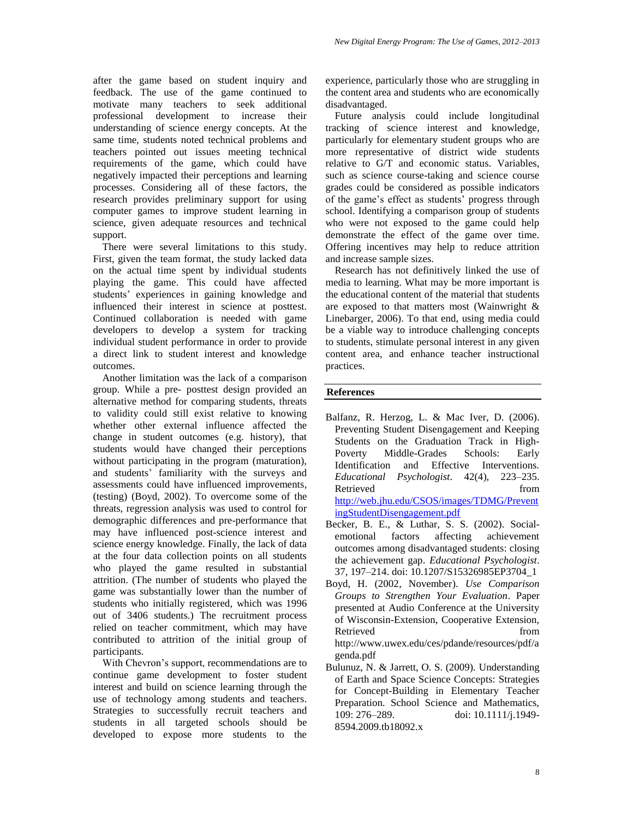after the game based on student inquiry and feedback. The use of the game continued to motivate many teachers to seek additional professional development to increase their understanding of science energy concepts. At the same time, students noted technical problems and teachers pointed out issues meeting technical requirements of the game, which could have negatively impacted their perceptions and learning processes. Considering all of these factors, the research provides preliminary support for using computer games to improve student learning in science, given adequate resources and technical support.

There were several limitations to this study. First, given the team format, the study lacked data on the actual time spent by individual students playing the game. This could have affected students' experiences in gaining knowledge and influenced their interest in science at posttest. Continued collaboration is needed with game developers to develop a system for tracking individual student performance in order to provide a direct link to student interest and knowledge outcomes.

Another limitation was the lack of a comparison group. While a pre- posttest design provided an alternative method for comparing students, threats to validity could still exist relative to knowing whether other external influence affected the change in student outcomes (e.g. history), that students would have changed their perceptions without participating in the program (maturation), and students' familiarity with the surveys and assessments could have influenced improvements, (testing) (Boyd, 2002). To overcome some of the threats, regression analysis was used to control for demographic differences and pre-performance that may have influenced post-science interest and science energy knowledge. Finally, the lack of data at the four data collection points on all students who played the game resulted in substantial attrition. (The number of students who played the game was substantially lower than the number of students who initially registered, which was 1996 out of 3406 students.) The recruitment process relied on teacher commitment, which may have contributed to attrition of the initial group of participants.

With Chevron's support, recommendations are to continue game development to foster student interest and build on science learning through the use of technology among students and teachers. Strategies to successfully recruit teachers and students in all targeted schools should be developed to expose more students to the

experience, particularly those who are struggling in the content area and students who are economically disadvantaged.

Future analysis could include longitudinal tracking of science interest and knowledge, particularly for elementary student groups who are more representative of district wide students relative to G/T and economic status. Variables, such as science course-taking and science course grades could be considered as possible indicators of the game's effect as students' progress through school. Identifying a comparison group of students who were not exposed to the game could help demonstrate the effect of the game over time. Offering incentives may help to reduce attrition and increase sample sizes.

Research has not definitively linked the use of media to learning. What may be more important is the educational content of the material that students are exposed to that matters most (Wainwright & Linebarger, 2006). To that end, using media could be a viable way to introduce challenging concepts to students, stimulate personal interest in any given content area, and enhance teacher instructional practices.

#### **References**

- Balfanz, R. Herzog, L. & Mac Iver, D. (2006). Preventing Student Disengagement and Keeping Students on the Graduation Track in High-Poverty Middle-Grades Schools: Early Identification and Effective Interventions. *Educational Psychologist*. 42(4), 223–235. Retrieved from the set of the set of the set of the set of the set of the set of the set of the set of the set of the set of the set of the set of the set of the set of the set of the set of the set of the set of the set o [http://web.jhu.edu/CSOS/images/TDMG/Prevent](http://web.jhu.edu/CSOS/images/TDMG/PreventingStudentDisengagement.pdf) [ingStudentDisengagement.pdf](http://web.jhu.edu/CSOS/images/TDMG/PreventingStudentDisengagement.pdf)
- Becker, B. E., & Luthar, S. S. (2002). Socialemotional factors affecting achievement outcomes among disadvantaged students: closing the achievement gap. *Educational Psychologist*. 37, 197–214. doi: 10.1207/S15326985EP3704\_1
- Boyd, H. (2002, November). *Use Comparison Groups to Strengthen Your Evaluation*. Paper presented at Audio Conference at the University of Wisconsin-Extension, Cooperative Extension, Retrieved from the set of the set of the set of the set of the set of the set of the set of the set of the set of the set of the set of the set of the set of the set of the set of the set of the set of the set of the set o http://www.uwex.edu/ces/pdande/resources/pdf/a genda.pdf
- Bulunuz, N. & Jarrett, O. S. (2009). Understanding of Earth and Space Science Concepts: Strategies for Concept-Building in Elementary Teacher Preparation. School Science and Mathematics, 109: 276–289. doi: 10.1111/j.1949- 8594.2009.tb18092.x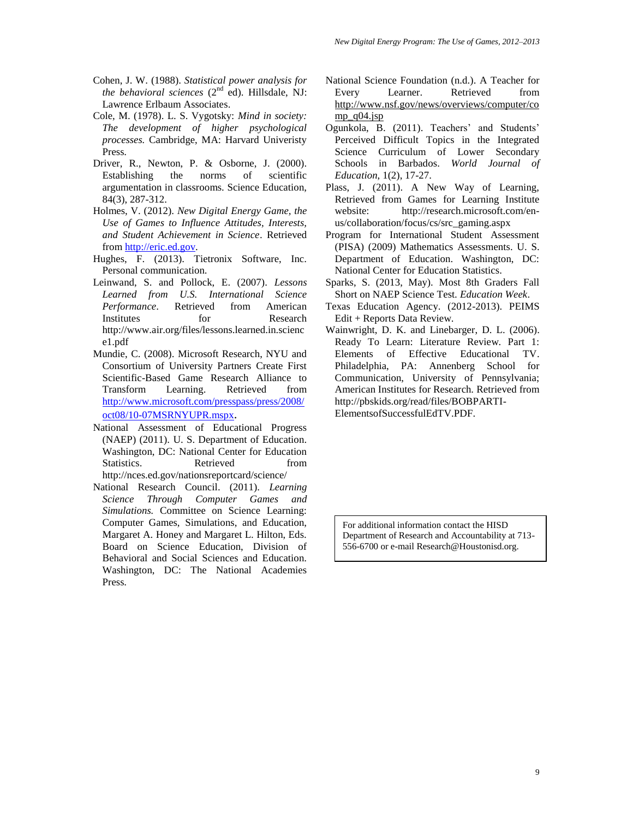- Cohen, J. W. (1988). *Statistical power analysis for the behavioral sciences*  $(2<sup>nd</sup>$  ed). Hillsdale, NJ: Lawrence Erlbaum Associates.
- Cole, M. (1978). L. S. Vygotsky: *Mind in society: The development of higher psychological processes.* Cambridge, MA: Harvard Univeristy Press.
- Driver, R., Newton, P. & Osborne, J. (2000). Establishing the norms of scientific argumentation in classrooms. Science Education, 84(3), 287-312.
- Holmes, V. (2012). *New Digital Energy Game, the Use of Games to Influence Attitudes, Interests, and Student Achievement in Science*. Retrieved from [http://eric.ed.gov.](http://eric.ed.gov/)
- Hughes, F. (2013). Tietronix Software, Inc. Personal communication.
- Leinwand, S. and Pollock, E. (2007). *Lessons Learned from U.S. International Science Performance*. Retrieved from American Institutes for Research http://www.air.org/files/lessons.learned.in.scienc e1.pdf
- Mundie, C. (2008). Microsoft Research, NYU and Consortium of University Partners Create First Scientific-Based Game Research Alliance to Transform Learning. Retrieved from [http://www.microsoft.com/presspass/press/2008/](http://www.microsoft.com/presspass/press/2008/oct08/10-07MSRNYUPR.mspx) [oct08/10-07MSRNYUPR.mspx](http://www.microsoft.com/presspass/press/2008/oct08/10-07MSRNYUPR.mspx).
- National Assessment of Educational Progress (NAEP) (2011). U. S. Department of Education. Washington, DC: National Center for Education Statistics. Retrieved from http://nces.ed.gov/nationsreportcard/science/
- National Research Council. (2011). *Learning Science Through Computer Games and Simulations.* Committee on Science Learning: Computer Games, Simulations, and Education, Margaret A. Honey and Margaret L. Hilton, Eds. Board on Science Education, Division of Behavioral and Social Sciences and Education. Washington, DC: The National Academies Press.
- National Science Foundation (n.d.). A Teacher for Every Learner. Retrieved from [http://www.nsf.gov/news/overviews/computer/co](http://www.nsf.gov/news/overviews/computer/comp_q04.jsp) [mp\\_q04.jsp](http://www.nsf.gov/news/overviews/computer/comp_q04.jsp)
- Ogunkola, B. (2011). Teachers' and Students' Perceived Difficult Topics in the Integrated Science Curriculum of Lower Secondary Schools in Barbados. *World Journal of Education*, 1(2), 17-27.
- Plass, J. (2011). A New Way of Learning, Retrieved from Games for Learning Institute website: http://research.microsoft.com/enus/collaboration/focus/cs/src\_gaming.aspx
- Program for International Student Assessment (PISA) (2009) Mathematics Assessments. U. S. Department of Education. Washington, DC: National Center for Education Statistics.
- Sparks, S. (2013, May). Most 8th Graders Fall Short on NAEP Science Test*. Education Week*.
- Texas Education Agency. (2012-2013). PEIMS Edit + Reports Data Review.
- Wainwright, D. K. and Linebarger, D. L. (2006). Ready To Learn: Literature Review. Part 1: Elements of Effective Educational TV. Philadelphia, PA: Annenberg School for Communication, University of Pennsylvania; American Institutes for Research. Retrieved from http://pbskids.org/read/files/BOBPARTI-ElementsofSuccessfulEdTV.PDF.

For additional information contact the HISD Department of Research and Accountability at 713- 556-6700 or e-mail Research@Houstonisd.org.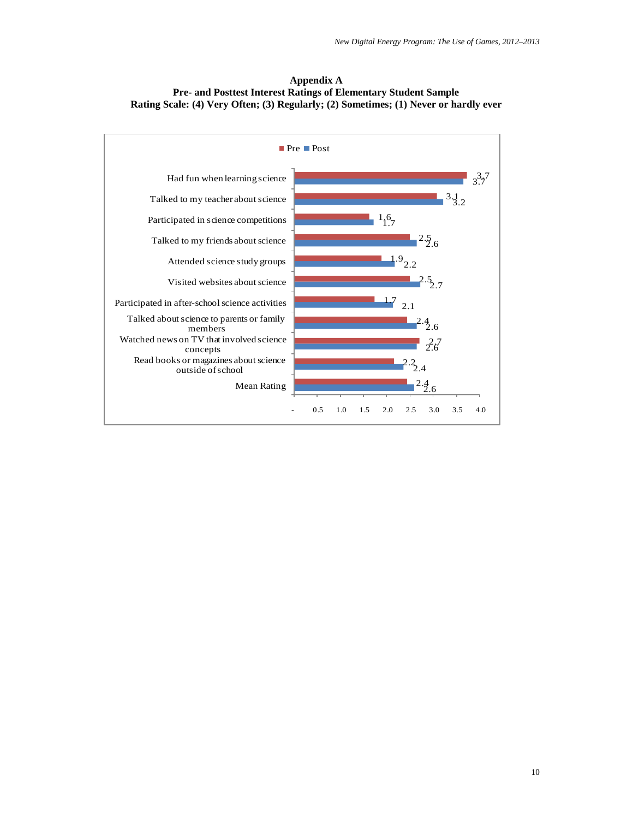